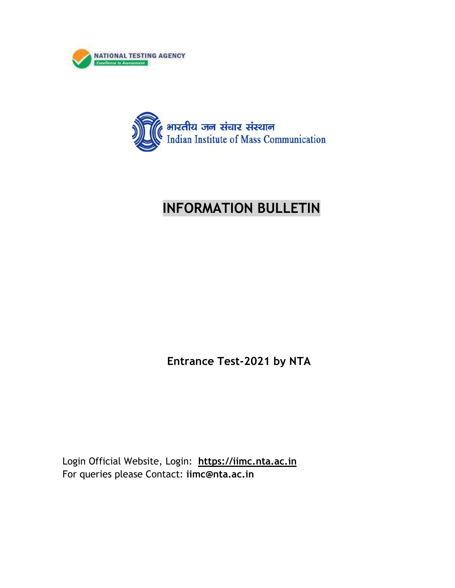



# **INFORMATION BULLETIN**

**Entrance Test-2021 by NTA** 

Login Official Website, Login: **https://iimc.nta.ac.in**  For queries please Contact: **iimc@nta.ac.in**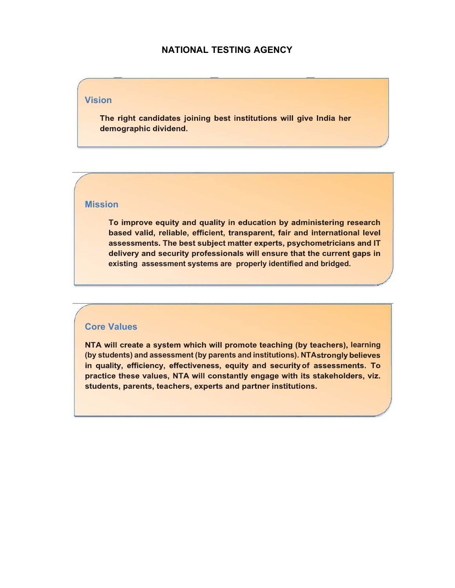### **NATIONAL TESTING AGENCY**

#### **Vision**

The right candidates joining best institutions will give India her demographic dividend.

#### **Mission**

To improve equity and quality in education by administering research based valid, reliable, efficient, transparent, fair and international level assessments. The best subject matter experts, psychometricians and IT delivery and security professionals will ensure that the current gaps in **existing assessment systems are properly identified and bridged.**

#### **Core Values**

NTA will create a system which will promote teaching (by teachers), learning (by students) and assessment (by parents and institutions). NTA strongly believes in quality, efficiency, effectiveness, equity and security of assessments. To practice these values, NTA will constantly engage with its stakeholders, viz. students, parents, teachers, experts and partner institutions.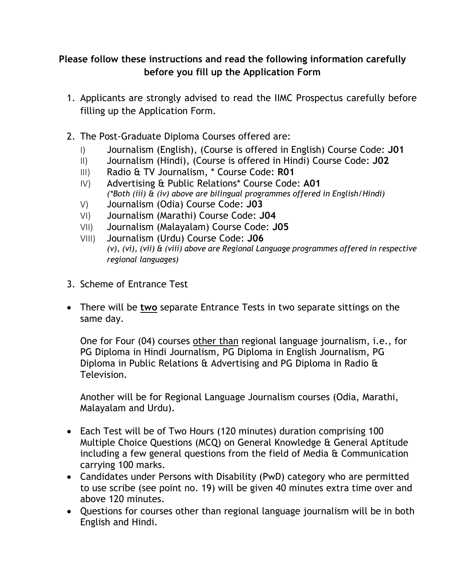## **Please follow these instructions and read the following information carefully before you fill up the Application Form**

- 1. Applicants are strongly advised to read the IIMC Prospectus carefully before filling up the Application Form.
- 2. The Post-Graduate Diploma Courses offered are:
	- I) Journalism (English), (Course is offered in English) Course Code: **J01**
	- II) Journalism (Hindi), (Course is offered in Hindi) Course Code: **J02**
	- III) Radio & TV Journalism, \* Course Code: **R01**
	- IV) Advertising & Public Relations\* Course Code: **A01** *(\*Both (iii) & (iv) above are bilingual programmes offered in English/Hindi)*
	- V) Journalism (Odia) Course Code: **J03**
	- VI) Journalism (Marathi) Course Code: **J04**
	- VII) Journalism (Malayalam) Course Code: **J05**
	- VIII) Journalism (Urdu) Course Code: **J06** *(v), (vi), (vii) & (viii) above are Regional Language programmes offered in respective regional languages)*
- 3. Scheme of Entrance Test
- There will be **two** separate Entrance Tests in two separate sittings on the same day.

One for Four (04) courses other than regional language journalism, i.e., for PG Diploma in Hindi Journalism, PG Diploma in English Journalism, PG Diploma in Public Relations & Advertising and PG Diploma in Radio & Television.

Another will be for Regional Language Journalism courses (Odia, Marathi, Malayalam and Urdu).

- Each Test will be of Two Hours (120 minutes) duration comprising 100 Multiple Choice Questions (MCQ) on General Knowledge & General Aptitude including a few general questions from the field of Media & Communication carrying 100 marks.
- Candidates under Persons with Disability (PwD) category who are permitted to use scribe (see point no. 19) will be given 40 minutes extra time over and above 120 minutes.
- Questions for courses other than regional language journalism will be in both English and Hindi.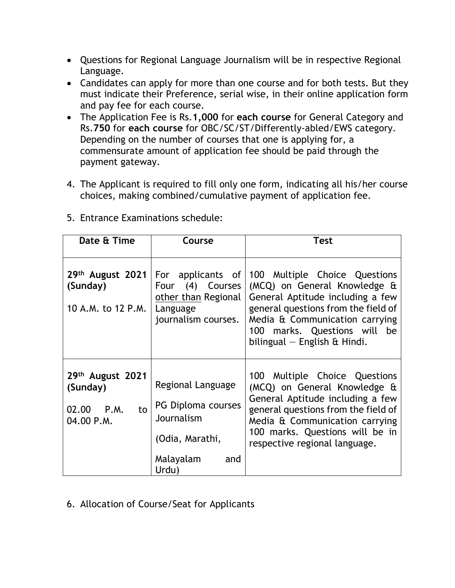- Questions for Regional Language Journalism will be in respective Regional Language.
- Candidates can apply for more than one course and for both tests. But they must indicate their Preference, serial wise, in their online application form and pay fee for each course.
- The Application Fee is Rs.**1,000** for **each course** for General Category and Rs.**750** for **each course** for OBC/SC/ST/Differently-abled/EWS category. Depending on the number of courses that one is applying for, a commensurate amount of application fee should be paid through the payment gateway.
- 4. The Applicant is required to fill only one form, indicating all his/her course choices, making combined/cumulative payment of application fee.

| Date & Time                                                    | Course                                                                                                | <b>Test</b>                                                                                                                                                                                                                                                    |  |
|----------------------------------------------------------------|-------------------------------------------------------------------------------------------------------|----------------------------------------------------------------------------------------------------------------------------------------------------------------------------------------------------------------------------------------------------------------|--|
| $29th$ August 2021<br>(Sunday)<br>10 A.M. to 12 P.M.           | (4) Courses<br>Four<br>other than Regional<br>Language<br>journalism courses.                         | For applicants of 100 Multiple Choice Questions<br>(MCQ) on General Knowledge &<br>General Aptitude including a few<br>general questions from the field of<br>Media & Communication carrying<br>100 marks. Questions will be<br>bilingual $-$ English & Hindi. |  |
| 29th August 2021<br>(Sunday)<br>02.00 P.M.<br>to<br>04.00 P.M. | Regional Language<br>PG Diploma courses<br>Journalism<br>(Odia, Marathi,<br>Malayalam<br>and<br>Urdu) | 100 Multiple Choice Questions<br>(MCQ) on General Knowledge &<br>General Aptitude including a few<br>general questions from the field of<br>Media & Communication carrying<br>100 marks. Questions will be in<br>respective regional language.                 |  |

5. Entrance Examinations schedule:

6. Allocation of Course/Seat for Applicants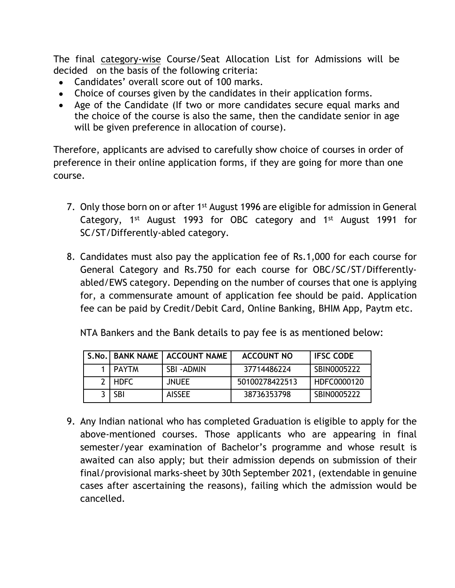The final category-wise Course/Seat Allocation List for Admissions will be decided on the basis of the following criteria:

- Candidates' overall score out of 100 marks.
- Choice of courses given by the candidates in their application forms.
- Age of the Candidate (If two or more candidates secure equal marks and the choice of the course is also the same, then the candidate senior in age will be given preference in allocation of course).

Therefore, applicants are advised to carefully show choice of courses in order of preference in their online application forms, if they are going for more than one course.

- 7. Only those born on or after 1<sup>st</sup> August 1996 are eligible for admission in General Category, 1<sup>st</sup> August 1993 for OBC category and 1<sup>st</sup> August 1991 for SC/ST/Differently-abled category.
- 8. Candidates must also pay the application fee of Rs.1,000 for each course for General Category and Rs.750 for each course for OBC/SC/ST/Differentlyabled/EWS category. Depending on the number of courses that one is applying for, a commensurate amount of application fee should be paid. Application fee can be paid by Credit/Debit Card, Online Banking, BHIM App, Paytm etc.

NTA Bankers and the Bank details to pay fee is as mentioned below:

|         | S.No.   BANK NAME   ACCOUNT NAME | <b>ACCOUNT NO</b> | <b>IFSC CODE</b> |
|---------|----------------------------------|-------------------|------------------|
| I PAYTM | SBI-ADMIN                        | 37714486224       | SBIN0005222      |
| 2 HDFC  | <b>JNUEE</b>                     | 50100278422513    | HDFC0000120      |
| -SBI    | <b>AISSEE</b>                    | 38736353798       | SBIN0005222      |

9. Any Indian national who has completed Graduation is eligible to apply for the above-mentioned courses. Those applicants who are appearing in final semester/year examination of Bachelor's programme and whose result is awaited can also apply; but their admission depends on submission of their final/provisional marks-sheet by 30th September 2021, (extendable in genuine cases after ascertaining the reasons), failing which the admission would be cancelled.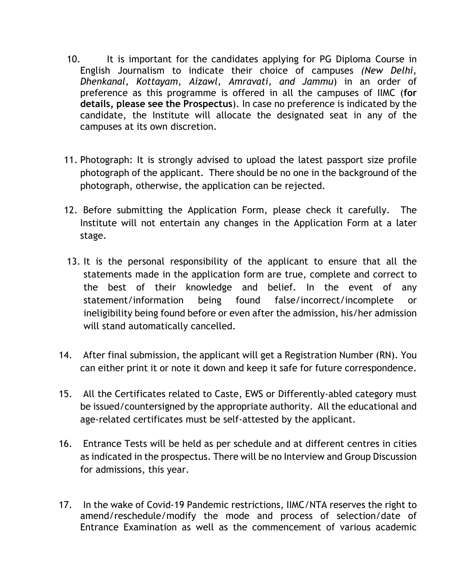- 10. It is important for the candidates applying for PG Diploma Course in English Journalism to indicate their choice of campuses *(New Delhi, Dhenkanal, Kottayam, Aizawl, Amravati, and Jammu*) in an order of preference as this programme is offered in all the campuses of IIMC (**for details, please see the Prospectus**). In case no preference is indicated by the candidate, the Institute will allocate the designated seat in any of the campuses at its own discretion.
- 11. Photograph: It is strongly advised to upload the latest passport size profile photograph of the applicant. There should be no one in the background of the photograph, otherwise, the application can be rejected.
- 12. Before submitting the Application Form, please check it carefully. The Institute will not entertain any changes in the Application Form at a later stage.
- 13. It is the personal responsibility of the applicant to ensure that all the statements made in the application form are true, complete and correct to the best of their knowledge and belief. In the event of any statement/information being found false/incorrect/incomplete or ineligibility being found before or even after the admission, his/her admission will stand automatically cancelled.
- 14. After final submission, the applicant will get a Registration Number (RN). You can either print it or note it down and keep it safe for future correspondence.
- 15. All the Certificates related to Caste, EWS or Differently-abled category must be issued/countersigned by the appropriate authority. All the educational and age-related certificates must be self-attested by the applicant.
- 16. Entrance Tests will be held as per schedule and at different centres in cities as indicated in the prospectus. There will be no Interview and Group Discussion for admissions, this year.
- 17. In the wake of Covid-19 Pandemic restrictions, IIMC/NTA reserves the right to amend/reschedule/modify the mode and process of selection/date of Entrance Examination as well as the commencement of various academic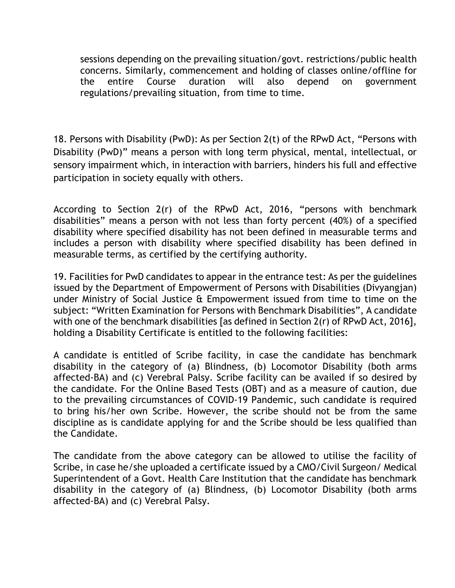sessions depending on the prevailing situation/govt. restrictions/public health concerns. Similarly, commencement and holding of classes online/offline for the entire Course duration will also depend on government regulations/prevailing situation, from time to time.

18. Persons with Disability (PwD): As per Section 2(t) of the RPwD Act, "Persons with Disability (PwD)" means a person with long term physical, mental, intellectual, or sensory impairment which, in interaction with barriers, hinders his full and effective participation in society equally with others.

According to Section 2(r) of the RPwD Act, 2016, "persons with benchmark disabilities" means a person with not less than forty percent (40%) of a specified disability where specified disability has not been defined in measurable terms and includes a person with disability where specified disability has been defined in measurable terms, as certified by the certifying authority.

19. Facilities for PwD candidates to appear in the entrance test: As per the guidelines issued by the Department of Empowerment of Persons with Disabilities (Divyangjan) under Ministry of Social Justice & Empowerment issued from time to time on the subject: "Written Examination for Persons with Benchmark Disabilities", A candidate with one of the benchmark disabilities [as defined in Section 2(r) of RPwD Act, 2016], holding a Disability Certificate is entitled to the following facilities:

A candidate is entitled of Scribe facility, in case the candidate has benchmark disability in the category of (a) Blindness, (b) Locomotor Disability (both arms affected-BA) and (c) Verebral Palsy. Scribe facility can be availed if so desired by the candidate. For the Online Based Tests (OBT) and as a measure of caution, due to the prevailing circumstances of COVID-19 Pandemic, such candidate is required to bring his/her own Scribe. However, the scribe should not be from the same discipline as is candidate applying for and the Scribe should be less qualified than the Candidate.

The candidate from the above category can be allowed to utilise the facility of Scribe, in case he/she uploaded a certificate issued by a CMO/Civil Surgeon/ Medical Superintendent of a Govt. Health Care Institution that the candidate has benchmark disability in the category of (a) Blindness, (b) Locomotor Disability (both arms affected-BA) and (c) Verebral Palsy.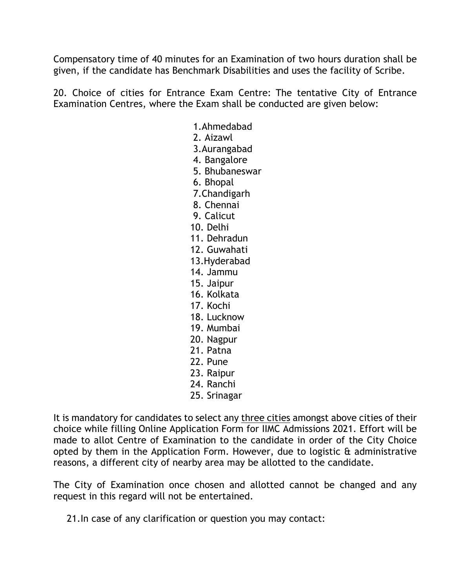Compensatory time of 40 minutes for an Examination of two hours duration shall be given, if the candidate has Benchmark Disabilities and uses the facility of Scribe.

20. Choice of cities for Entrance Exam Centre: The tentative City of Entrance Examination Centres, where the Exam shall be conducted are given below:

- 1.Ahmedabad
- 2. Aizawl
- 3.Aurangabad
- 4. Bangalore
- 5. Bhubaneswar
- 6. Bhopal
- 7.Chandigarh
- 8. Chennai
- 9. Calicut
- 10. Delhi
- 11. Dehradun
- 12. Guwahati
- 13.Hyderabad
- 14. Jammu
- 15. Jaipur
- 16. Kolkata
- 17. Kochi
- 18. Lucknow
- 19. Mumbai
- 20. Nagpur
- 21. Patna
- 22. Pune
- 23. Raipur
- 24. Ranchi
- 25. Srinagar

It is mandatory for candidates to select any three cities amongst above cities of their choice while filling Online Application Form for IIMC Admissions 2021. Effort will be made to allot Centre of Examination to the candidate in order of the City Choice opted by them in the Application Form. However, due to logistic & administrative reasons, a different city of nearby area may be allotted to the candidate.

The City of Examination once chosen and allotted cannot be changed and any request in this regard will not be entertained.

21.In case of any clarification or question you may contact: